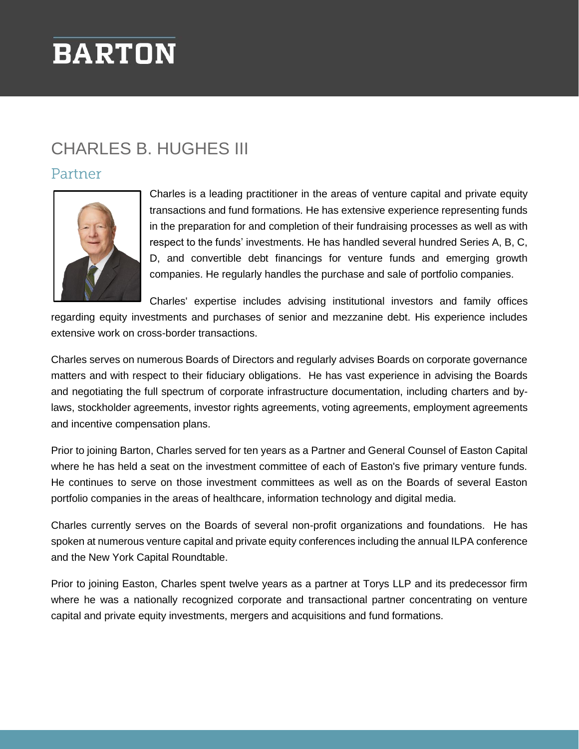# **BARTON**

# CHARLES B. HUGHES III

### Partner



Charles is a leading practitioner in the areas of venture capital and private equity transactions and fund formations. He has extensive experience representing funds in the preparation for and completion of their fundraising processes as well as with respect to the funds' investments. He has handled several hundred Series A, B, C, D, and convertible debt financings for venture funds and emerging growth companies. He regularly handles the purchase and sale of portfolio companies.

Charles' expertise includes advising institutional investors and family offices

regarding equity investments and purchases of senior and mezzanine debt. His experience includes extensive work on cross-border transactions.

Charles serves on numerous Boards of Directors and regularly advises Boards on corporate governance matters and with respect to their fiduciary obligations. He has vast experience in advising the Boards and negotiating the full spectrum of corporate infrastructure documentation, including charters and bylaws, stockholder agreements, investor rights agreements, voting agreements, employment agreements and incentive compensation plans.

Prior to joining Barton, Charles served for ten years as a Partner and General Counsel of Easton Capital where he has held a seat on the investment committee of each of Easton's five primary venture funds. He continues to serve on those investment committees as well as on the Boards of several Easton portfolio companies in the areas of healthcare, information technology and digital media.

Charles currently serves on the Boards of several non-profit organizations and foundations. He has spoken at numerous venture capital and private equity conferences including the annual ILPA conference and the New York Capital Roundtable.

Prior to joining Easton, Charles spent twelve years as a partner at Torys LLP and its predecessor firm where he was a nationally recognized corporate and transactional partner concentrating on venture capital and private equity investments, mergers and acquisitions and fund formations.